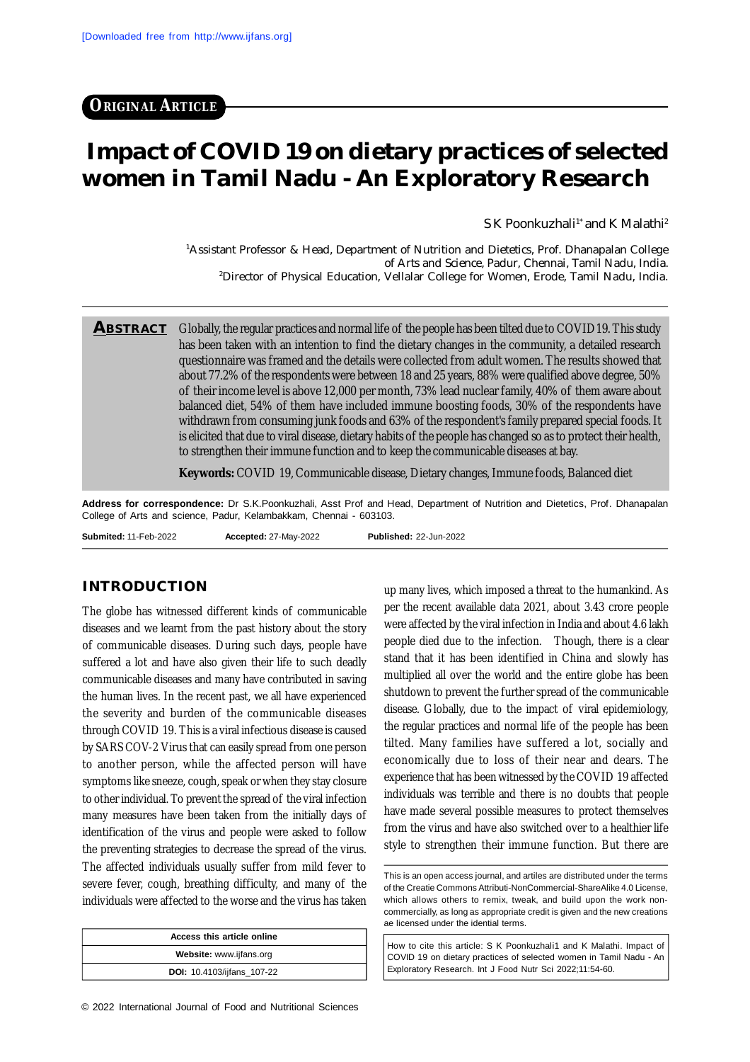**ORIGINAL ARTICLE**

# **Impact of COVID 19 on dietary practices of selected women in Tamil Nadu - An Exploratory Research**

 $S K$  Poonkuzhali<sup>1\*</sup> and K Malathi<sup>2</sup>

<sup>1</sup>Assistant Professor & Head, Department of Nutrition and Dietetics, Prof. Dhanapalan College of Arts and Science, Padur, Chennai, Tamil Nadu, India. <sup>2</sup>Director of Physical Education, Vellalar College for Women, Erode, Tamil Nadu, India.

**ABSTRACT** Globally, the regular practices and normal life of the people has been tilted due to COVID19. This study has been taken with an intention to find the dietary changes in the community, a detailed research questionnaire was framed and the details were collected from adult women. The results showed that about 77.2% of the respondents were between 18 and 25 years, 88% were qualified above degree, 50% of their income level is above 12,000 per month, 73% lead nuclear family, 40% of them aware about balanced diet, 54% of them have included immune boosting foods, 30% of the respondents have withdrawn from consuming junk foods and 63% of the respondent's family prepared special foods. It is elicited that due to viral disease, dietary habits of the people has changed so as to protect their health, to strengthen their immune function and to keep the communicable diseases at bay.

**Keywords:** COVID 19, Communicable disease, Dietary changes, Immune foods, Balanced diet

**Address for correspondence:** Dr S.K.Poonkuzhali, Asst Prof and Head, Department of Nutrition and Dietetics, Prof. Dhanapalan College of Arts and science, Padur, Kelambakkam, Chennai - 603103.

**Submited:** 11-Feb-2022 **Accepted:** 27-May-2022 **Published:** 22-Jun-2022

# **INTRODUCTION**

The globe has witnessed different kinds of communicable diseases and we learnt from the past history about the story of communicable diseases. During such days, people have suffered a lot and have also given their life to such deadly communicable diseases and many have contributed in saving the human lives. In the recent past, we all have experienced the severity and burden of the communicable diseases through COVID 19. This is a viral infectious disease is caused by SARS COV-2 Virus that can easily spread from one person to another person, while the affected person will have symptoms like sneeze, cough, speak or when they stay closure to other individual. To prevent the spread of the viral infection many measures have been taken from the initially days of identification of the virus and people were asked to follow the preventing strategies to decrease the spread of the virus. The affected individuals usually suffer from mild fever to severe fever, cough, breathing difficulty, and many of the individuals were affected to the worse and the virus has taken

| Access this article online        |  |  |
|-----------------------------------|--|--|
| Website: www.ijfans.org           |  |  |
| <b>DOI:</b> 10.4103/ijfans_107-22 |  |  |

up many lives, which imposed a threat to the humankind. As per the recent available data 2021, about 3.43 crore people were affected by the viral infection in India and about 4.6 lakh people died due to the infection. Though, there is a clear stand that it has been identified in China and slowly has multiplied all over the world and the entire globe has been shutdown to prevent the further spread of the communicable disease. Globally, due to the impact of viral epidemiology, the regular practices and normal life of the people has been tilted. Many families have suffered a lot, socially and economically due to loss of their near and dears. The experience that has been witnessed by the COVID 19 affected individuals was terrible and there is no doubts that people have made several possible measures to protect themselves from the virus and have also switched over to a healthier life style to strengthen their immune function. But there are

How to cite this article: S K Poonkuzhali1 and K Malathi. Impact of COVID 19 on dietary practices of selected women in Tamil Nadu - An Exploratory Research. Int J Food Nutr Sci 2022;11:54-60.

This is an open access journal, and artiles are distributed under the terms of the Creatie Commons Attributi-NonCommercial-ShareAlike 4.0 License, which allows others to remix, tweak, and build upon the work noncommercially, as long as appropriate credit is given and the new creations ae licensed under the idential terms.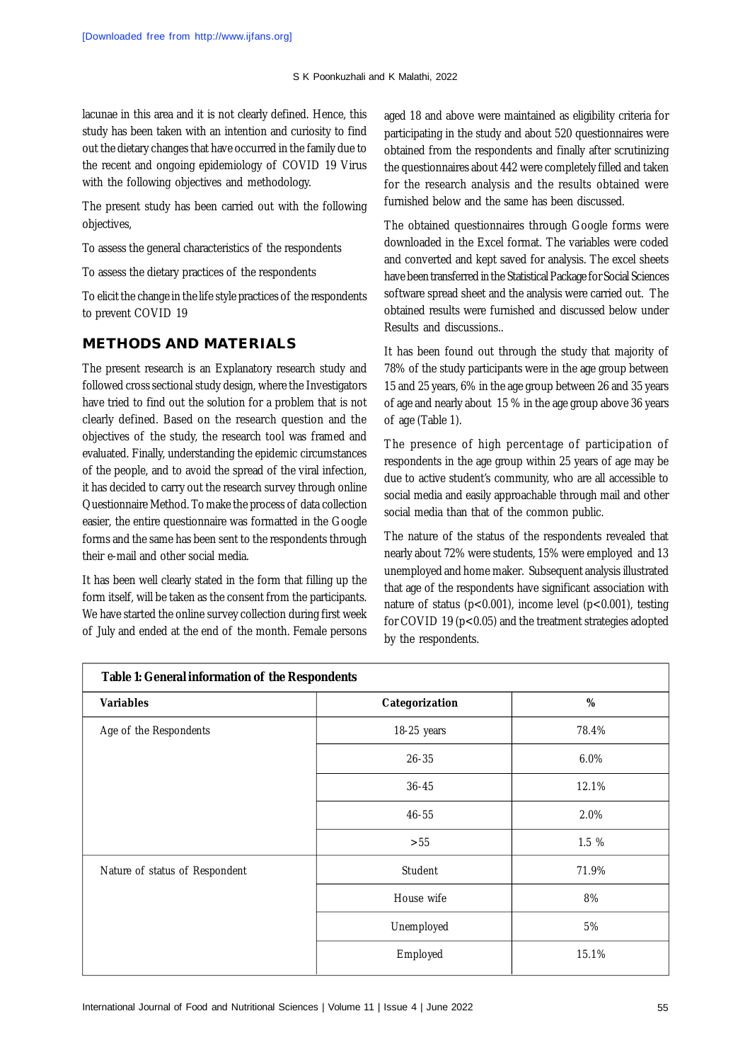lacunae in this area and it is not clearly defined. Hence, this study has been taken with an intention and curiosity to find out the dietary changes that have occurred in the family due to the recent and ongoing epidemiology of COVID 19 Virus with the following objectives and methodology.

The present study has been carried out with the following objectives,

To assess the general characteristics of the respondents

To assess the dietary practices of the respondents

To elicit the change in the life style practices of the respondents to prevent COVID 19

## **METHODS AND MATERIALS**

The present research is an Explanatory research study and followed cross sectional study design, where the Investigators have tried to find out the solution for a problem that is not clearly defined. Based on the research question and the objectives of the study, the research tool was framed and evaluated. Finally, understanding the epidemic circumstances of the people, and to avoid the spread of the viral infection, it has decided to carry out the research survey through online Questionnaire Method. To make the process of data collection easier, the entire questionnaire was formatted in the Google forms and the same has been sent to the respondents through their e-mail and other social media.

It has been well clearly stated in the form that filling up the form itself, will be taken as the consent from the participants. We have started the online survey collection during first week of July and ended at the end of the month. Female persons

aged 18 and above were maintained as eligibility criteria for participating in the study and about 520 questionnaires were obtained from the respondents and finally after scrutinizing the questionnaires about 442 were completely filled and taken for the research analysis and the results obtained were furnished below and the same has been discussed.

The obtained questionnaires through Google forms were downloaded in the Excel format. The variables were coded and converted and kept saved for analysis. The excel sheets have been transferred in the Statistical Package for Social Sciences software spread sheet and the analysis were carried out. The obtained results were furnished and discussed below under Results and discussions..

It has been found out through the study that majority of 78% of the study participants were in the age group between 15 and 25 years, 6% in the age group between 26 and 35 years of age and nearly about 15 % in the age group above 36 years of age (Table 1).

The presence of high percentage of participation of respondents in the age group within 25 years of age may be due to active student's community, who are all accessible to social media and easily approachable through mail and other social media than that of the common public.

The nature of the status of the respondents revealed that nearly about 72% were students, 15% were employed and 13 unemployed and home maker. Subsequent analysis illustrated that age of the respondents have significant association with nature of status (p<0.001), income level (p<0.001), testing for COVID 19 (p<0.05) and the treatment strategies adopted by the respondents.

| Table 1: General information of the Respondents |                |       |  |  |
|-------------------------------------------------|----------------|-------|--|--|
| Variables                                       | Categorization | $\%$  |  |  |
| Age of the Respondents                          | 18-25 years    | 78.4% |  |  |
|                                                 | $26 - 35$      | 6.0%  |  |  |
|                                                 | $36 - 45$      | 12.1% |  |  |
|                                                 | $46 - 55$      | 2.0%  |  |  |
|                                                 | >55            | 1.5 % |  |  |
| Nature of status of Respondent                  | Student        | 71.9% |  |  |
|                                                 | House wife     | 8%    |  |  |
|                                                 | Unemployed     | 5%    |  |  |
|                                                 | Employed       | 15.1% |  |  |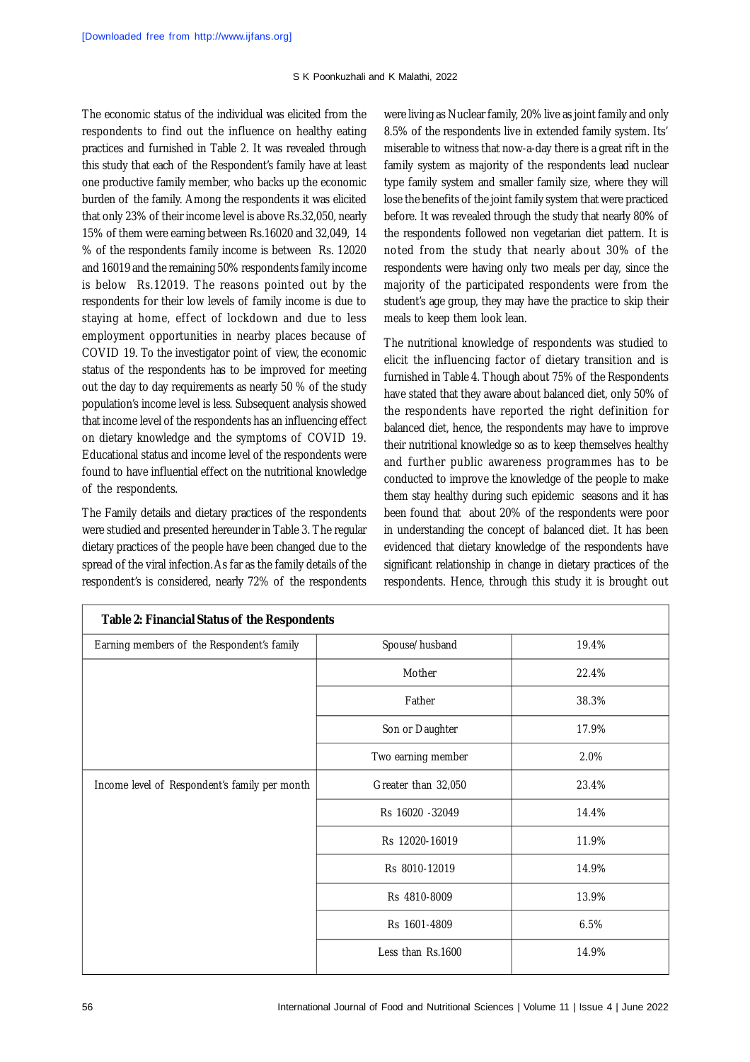#### S K Poonkuzhali and K Malathi, 2022

The economic status of the individual was elicited from the respondents to find out the influence on healthy eating practices and furnished in Table 2. It was revealed through this study that each of the Respondent's family have at least one productive family member, who backs up the economic burden of the family. Among the respondents it was elicited that only 23% of their income level is above Rs.32,050, nearly 15% of them were earning between Rs.16020 and 32,049, 14 % of the respondents family income is between Rs. 12020 and 16019 and the remaining 50% respondents family income is below Rs.12019. The reasons pointed out by the respondents for their low levels of family income is due to staying at home, effect of lockdown and due to less employment opportunities in nearby places because of COVID 19. To the investigator point of view, the economic status of the respondents has to be improved for meeting out the day to day requirements as nearly 50 % of the study population's income level is less. Subsequent analysis showed that income level of the respondents has an influencing effect on dietary knowledge and the symptoms of COVID 19. Educational status and income level of the respondents were found to have influential effect on the nutritional knowledge of the respondents.

The Family details and dietary practices of the respondents were studied and presented hereunder in Table 3. The regular dietary practices of the people have been changed due to the spread of the viral infection.As far as the family details of the respondent's is considered, nearly 72% of the respondents were living as Nuclear family, 20% live as joint family and only 8.5% of the respondents live in extended family system. Its' miserable to witness that now-a-day there is a great rift in the family system as majority of the respondents lead nuclear type family system and smaller family size, where they will lose the benefits of the joint family system that were practiced before. It was revealed through the study that nearly 80% of the respondents followed non vegetarian diet pattern. It is noted from the study that nearly about 30% of the respondents were having only two meals per day, since the majority of the participated respondents were from the student's age group, they may have the practice to skip their meals to keep them look lean.

The nutritional knowledge of respondents was studied to elicit the influencing factor of dietary transition and is furnished in Table 4. Though about 75% of the Respondents have stated that they aware about balanced diet, only 50% of the respondents have reported the right definition for balanced diet, hence, the respondents may have to improve their nutritional knowledge so as to keep themselves healthy and further public awareness programmes has to be conducted to improve the knowledge of the people to make them stay healthy during such epidemic seasons and it has been found that about 20% of the respondents were poor in understanding the concept of balanced diet. It has been evidenced that dietary knowledge of the respondents have significant relationship in change in dietary practices of the respondents. Hence, through this study it is brought out

| Table 2: Financial Status of the Respondents  |                     |       |  |  |
|-----------------------------------------------|---------------------|-------|--|--|
| Earning members of the Respondent's family    | Spouse/husband      | 19.4% |  |  |
|                                               | Mother              | 22.4% |  |  |
|                                               | Father              | 38.3% |  |  |
|                                               | Son or Daughter     | 17.9% |  |  |
|                                               | Two earning member  | 2.0%  |  |  |
| Income level of Respondent's family per month | Greater than 32,050 | 23.4% |  |  |
|                                               | Rs 16020 - 32049    | 14.4% |  |  |
|                                               | Rs 12020-16019      | 11.9% |  |  |
|                                               | Rs 8010-12019       | 14.9% |  |  |
|                                               | Rs 4810-8009        | 13.9% |  |  |
|                                               | Rs 1601-4809        | 6.5%  |  |  |
|                                               | Less than Rs.1600   | 14.9% |  |  |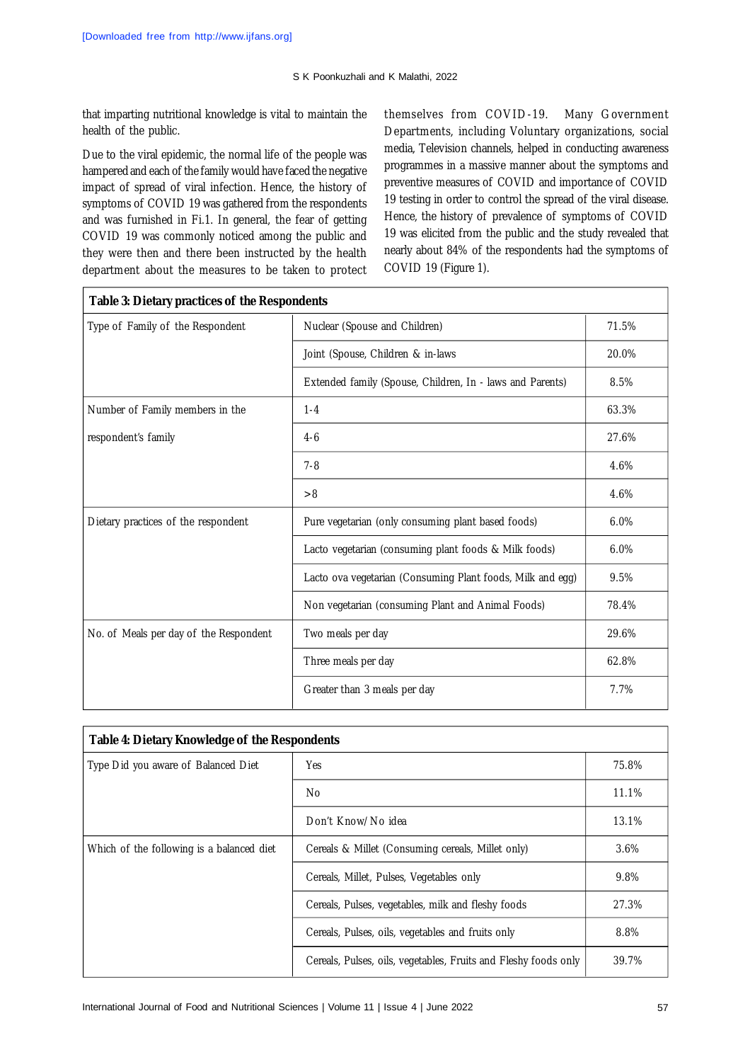that imparting nutritional knowledge is vital to maintain the health of the public.

Due to the viral epidemic, the normal life of the people was hampered and each of the family would have faced the negative impact of spread of viral infection. Hence, the history of symptoms of COVID 19 was gathered from the respondents and was furnished in Fi.1. In general, the fear of getting COVID 19 was commonly noticed among the public and they were then and there been instructed by the health department about the measures to be taken to protect themselves from COVID-19. Many Government Departments, including Voluntary organizations, social media, Television channels, helped in conducting awareness programmes in a massive manner about the symptoms and preventive measures of COVID and importance of COVID 19 testing in order to control the spread of the viral disease. Hence, the history of prevalence of symptoms of COVID 19 was elicited from the public and the study revealed that nearly about 84% of the respondents had the symptoms of COVID 19 (Figure 1).

| Table 3: Dietary practices of the Respondents |                                                            |       |  |  |
|-----------------------------------------------|------------------------------------------------------------|-------|--|--|
| Type of Family of the Respondent              | Nuclear (Spouse and Children)                              | 71.5% |  |  |
|                                               | Joint (Spouse, Children & in-laws                          | 20.0% |  |  |
|                                               | Extended family (Spouse, Children, In - laws and Parents)  | 8.5%  |  |  |
| Number of Family members in the               | $1 - 4$                                                    | 63.3% |  |  |
| respondent's family                           | $4 - 6$                                                    | 27.6% |  |  |
|                                               | $7 - 8$                                                    | 4.6%  |  |  |
|                                               | >8                                                         | 4.6%  |  |  |
| Dietary practices of the respondent           | Pure vegetarian (only consuming plant based foods)         | 6.0%  |  |  |
|                                               | Lacto vegetarian (consuming plant foods & Milk foods)      | 6.0%  |  |  |
|                                               | Lacto ova vegetarian (Consuming Plant foods, Milk and egg) | 9.5%  |  |  |
|                                               | Non vegetarian (consuming Plant and Animal Foods)          | 78.4% |  |  |
| No. of Meals per day of the Respondent        | Two meals per day                                          | 29.6% |  |  |
|                                               | Three meals per day                                        | 62.8% |  |  |
|                                               | Greater than 3 meals per day                               | 7.7%  |  |  |
|                                               |                                                            |       |  |  |

| Table 4: Dietary Knowledge of the Respondents |                                                                 |         |  |  |
|-----------------------------------------------|-----------------------------------------------------------------|---------|--|--|
| Type Did you aware of Balanced Diet           | Yes                                                             | 75.8%   |  |  |
|                                               | No.                                                             | 11.1%   |  |  |
|                                               | Don't Know/No idea                                              | 13.1%   |  |  |
| Which of the following is a balanced diet     | Cereals & Millet (Consuming cereals, Millet only)               | $3.6\%$ |  |  |
|                                               | Cereals, Millet, Pulses, Vegetables only                        | 9.8%    |  |  |
|                                               | Cereals, Pulses, vegetables, milk and fleshy foods              | 27.3%   |  |  |
|                                               | Cereals, Pulses, oils, vegetables and fruits only               | 8.8%    |  |  |
|                                               | Cereals, Pulses, oils, vegetables, Fruits and Fleshy foods only | 39.7%   |  |  |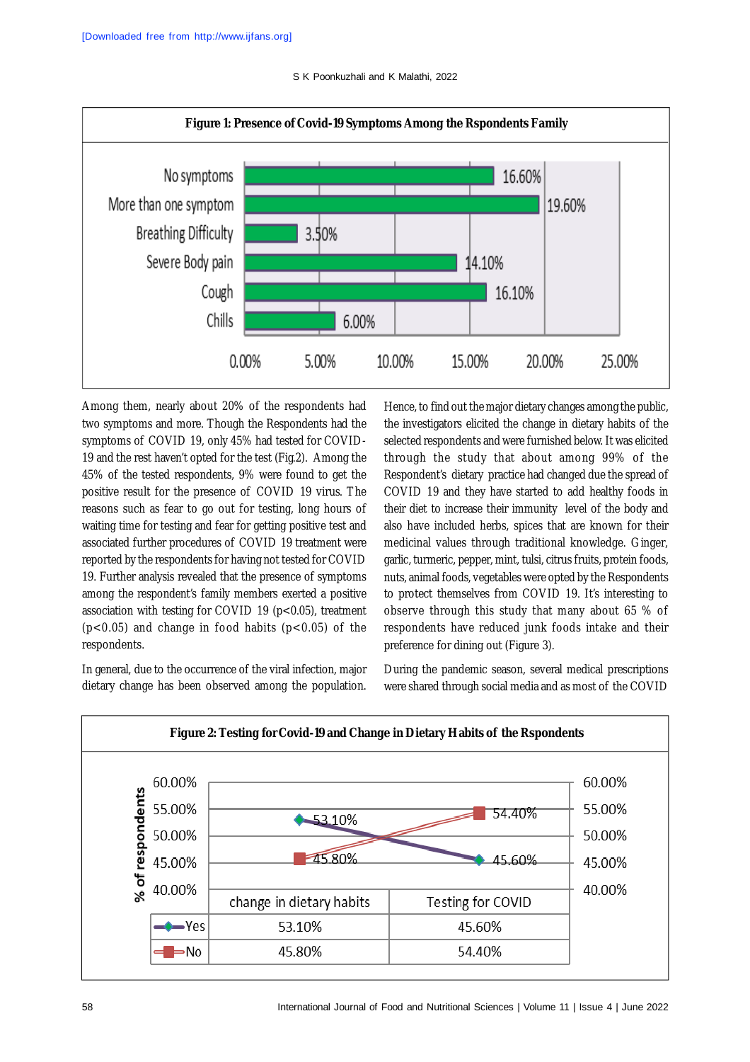S K Poonkuzhali and K Malathi, 2022



Among them, nearly about 20% of the respondents had two symptoms and more. Though the Respondents had the symptoms of COVID 19, only 45% had tested for COVID-19 and the rest haven't opted for the test (Fig.2). Among the 45% of the tested respondents, 9% were found to get the positive result for the presence of COVID 19 virus. The reasons such as fear to go out for testing, long hours of waiting time for testing and fear for getting positive test and associated further procedures of COVID 19 treatment were reported by the respondents for having not tested for COVID 19. Further analysis revealed that the presence of symptoms among the respondent's family members exerted a positive association with testing for COVID 19 (p<0.05), treatment  $(p<0.05)$  and change in food habits  $(p<0.05)$  of the respondents.

In general, due to the occurrence of the viral infection, major dietary change has been observed among the population.

Hence, to find out the major dietary changes among the public, the investigators elicited the change in dietary habits of the selected respondents and were furnished below. It was elicited through the study that about among 99% of the Respondent's dietary practice had changed due the spread of COVID 19 and they have started to add healthy foods in their diet to increase their immunity level of the body and also have included herbs, spices that are known for their medicinal values through traditional knowledge. Ginger, garlic, turmeric, pepper, mint, tulsi, citrus fruits, protein foods, nuts, animal foods, vegetables were opted by the Respondents to protect themselves from COVID 19. It's interesting to observe through this study that many about 65 % of respondents have reduced junk foods intake and their preference for dining out (Figure 3).

During the pandemic season, several medical prescriptions were shared through social media and as most of the COVID

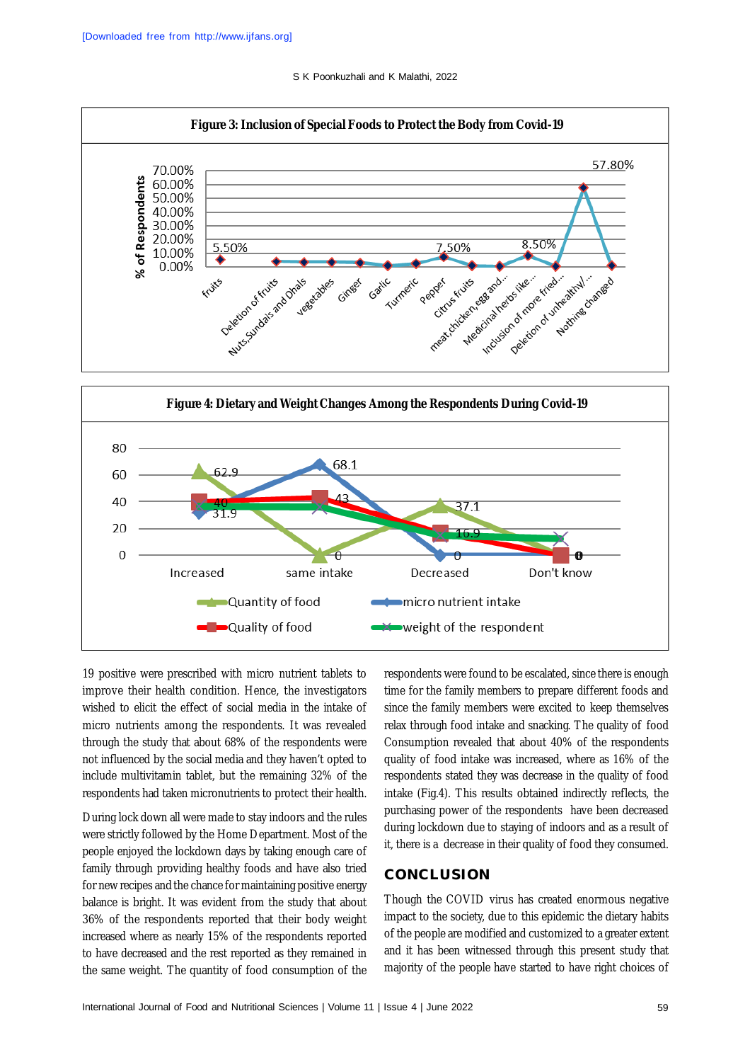S K Poonkuzhali and K Malathi, 2022





19 positive were prescribed with micro nutrient tablets to improve their health condition. Hence, the investigators wished to elicit the effect of social media in the intake of micro nutrients among the respondents. It was revealed through the study that about 68% of the respondents were not influenced by the social media and they haven't opted to include multivitamin tablet, but the remaining 32% of the respondents had taken micronutrients to protect their health.

During lock down all were made to stay indoors and the rules were strictly followed by the Home Department. Most of the people enjoyed the lockdown days by taking enough care of family through providing healthy foods and have also tried for new recipes and the chance for maintaining positive energy balance is bright. It was evident from the study that about 36% of the respondents reported that their body weight increased where as nearly 15% of the respondents reported to have decreased and the rest reported as they remained in the same weight. The quantity of food consumption of the

respondents were found to be escalated, since there is enough time for the family members to prepare different foods and since the family members were excited to keep themselves relax through food intake and snacking. The quality of food Consumption revealed that about 40% of the respondents quality of food intake was increased, where as 16% of the respondents stated they was decrease in the quality of food intake (Fig.4). This results obtained indirectly reflects, the purchasing power of the respondents have been decreased during lockdown due to staying of indoors and as a result of it, there is a decrease in their quality of food they consumed.

## **CONCLUSION**

Though the COVID virus has created enormous negative impact to the society, due to this epidemic the dietary habits of the people are modified and customized to a greater extent and it has been witnessed through this present study that majority of the people have started to have right choices of